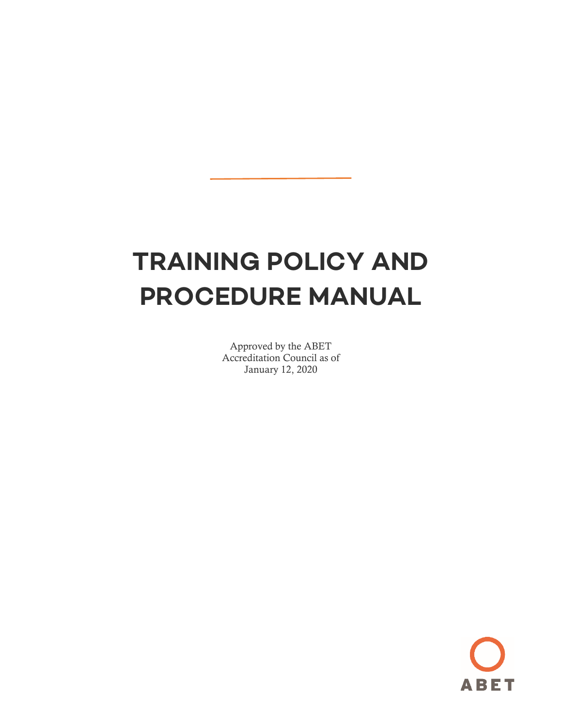# **TRAINING POLICY AND PROCEDURE MANUAL**

Approved by the ABET Accreditation Council as of January 12, 2020

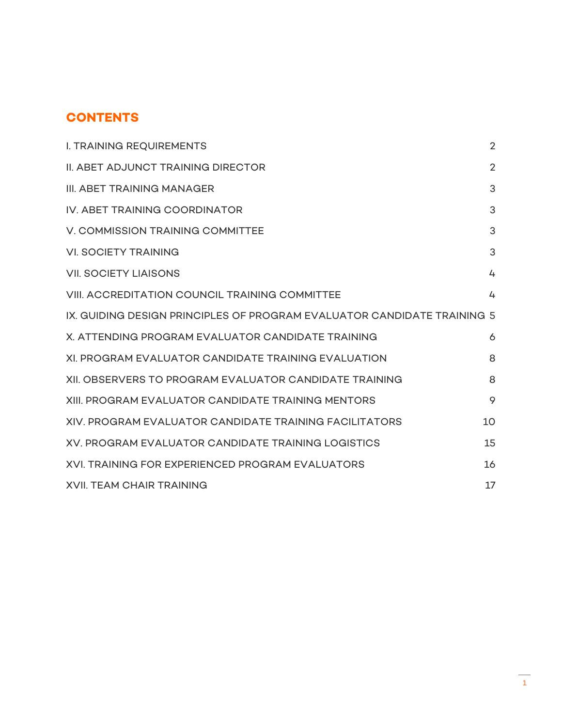## **CONTENTS**

| <b>I. TRAINING REQUIREMENTS</b>                                         | $\overline{2}$ |
|-------------------------------------------------------------------------|----------------|
| <b>II. ABET ADJUNCT TRAINING DIRECTOR</b>                               | $\overline{2}$ |
| III. ABET TRAINING MANAGER                                              | 3              |
| IV. ABET TRAINING COORDINATOR                                           | 3              |
| V. COMMISSION TRAINING COMMITTEE                                        | 3              |
| <b>VI. SOCIETY TRAINING</b>                                             | 3              |
| <b>VII. SOCIETY LIAISONS</b>                                            | 4              |
| <b>VIII. ACCREDITATION COUNCIL TRAINING COMMITTEE</b>                   | 4              |
| IX. GUIDING DESIGN PRINCIPLES OF PROGRAM EVALUATOR CANDIDATE TRAINING 5 |                |
| X. ATTENDING PROGRAM EVALUATOR CANDIDATE TRAINING                       | 6              |
| XI. PROGRAM EVALUATOR CANDIDATE TRAINING EVALUATION                     | 8              |
| XII. OBSERVERS TO PROGRAM EVALUATOR CANDIDATE TRAINING                  | 8              |
| XIII. PROGRAM EVALUATOR CANDIDATE TRAINING MENTORS                      | 9              |
| XIV. PROGRAM EVALUATOR CANDIDATE TRAINING FACILITATORS                  | 10             |
| XV. PROGRAM EVALUATOR CANDIDATE TRAINING LOGISTICS                      | 15             |
| XVI. TRAINING FOR EXPERIENCED PROGRAM EVALUATORS                        | 16             |
| <b>XVII. TEAM CHAIR TRAINING</b>                                        | 17             |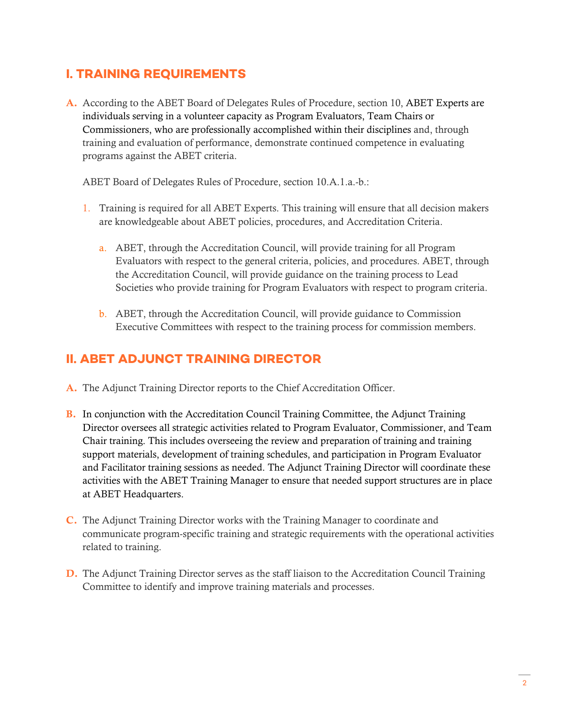#### <span id="page-3-0"></span>**I. TRAINING REQUIREMENTS**

A. According to the ABET Board of Delegates Rules of Procedure, section 10, ABET Experts are individuals serving in a volunteer capacity as Program Evaluators, Team Chairs or Commissioners, who are professionally accomplished within their disciplines and, through training and evaluation of performance, demonstrate continued competence in evaluating programs against the ABET criteria.

ABET Board of Delegates Rules of Procedure, section 10.A.1.a.-b.:

- 1. Training is required for all ABET Experts. This training will ensure that all decision makers are knowledgeable about ABET policies, procedures, and Accreditation Criteria.
	- a. ABET, through the Accreditation Council, will provide training for all Program Evaluators with respect to the general criteria, policies, and procedures. ABET, through the Accreditation Council, will provide guidance on the training process to Lead Societies who provide training for Program Evaluators with respect to program criteria.
	- b. ABET, through the Accreditation Council, will provide guidance to Commission Executive Committees with respect to the training process for commission members.

#### <span id="page-3-1"></span>**II. ABET ADJUNCT TRAINING DIRECTOR**

- A. The Adjunct Training Director reports to the Chief Accreditation Officer.
- B. In conjunction with the Accreditation Council Training Committee, the Adjunct Training Director oversees all strategic activities related to Program Evaluator, Commissioner, and Team Chair training. This includes overseeing the review and preparation of training and training support materials, development of training schedules, and participation in Program Evaluator and Facilitator training sessions as needed. The Adjunct Training Director will coordinate these activities with the ABET Training Manager to ensure that needed support structures are in place at ABET Headquarters.
- C. The Adjunct Training Director works with the Training Manager to coordinate and communicate program-specific training and strategic requirements with the operational activities related to training.
- D. The Adjunct Training Director serves as the staff liaison to the Accreditation Council Training Committee to identify and improve training materials and processes.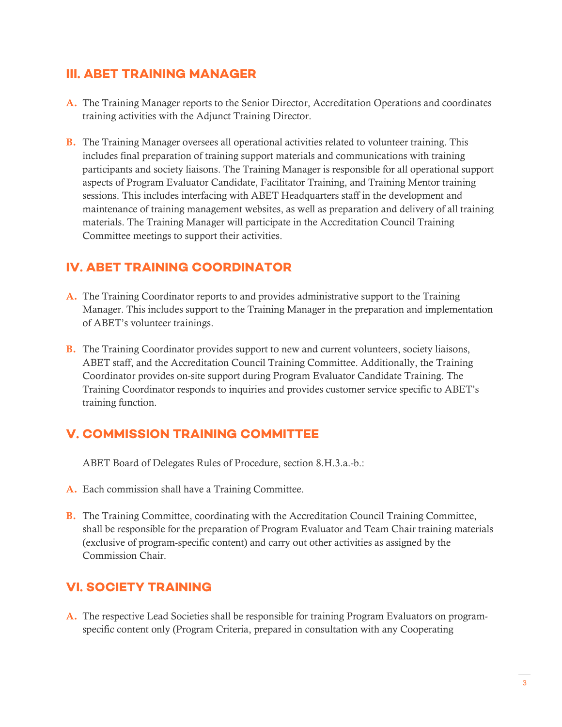#### <span id="page-4-0"></span>**III. ABET TRAINING MANAGER**

- A. The Training Manager reports to the Senior Director, Accreditation Operations and coordinates training activities with the Adjunct Training Director.
- B. The Training Manager oversees all operational activities related to volunteer training. This includes final preparation of training support materials and communications with training participants and society liaisons. The Training Manager is responsible for all operational support aspects of Program Evaluator Candidate, Facilitator Training, and Training Mentor training sessions. This includes interfacing with ABET Headquarters staff in the development and maintenance of training management websites, as well as preparation and delivery of all training materials. The Training Manager will participate in the Accreditation Council Training Committee meetings to support their activities.

#### <span id="page-4-1"></span>**IV. ABET TRAINING COORDINATOR**

- A. The Training Coordinator reports to and provides administrative support to the Training Manager. This includes support to the Training Manager in the preparation and implementation of ABET's volunteer trainings.
- B. The Training Coordinator provides support to new and current volunteers, society liaisons, ABET staff, and the Accreditation Council Training Committee. Additionally, the Training Coordinator provides on-site support during Program Evaluator Candidate Training. The Training Coordinator responds to inquiries and provides customer service specific to ABET's training function.

#### <span id="page-4-2"></span>**V. COMMISSION TRAINING COMMITTEE**

ABET Board of Delegates Rules of Procedure, section 8.H.3.a.-b.:

- A. Each commission shall have a Training Committee.
- B. The Training Committee, coordinating with the Accreditation Council Training Committee, shall be responsible for the preparation of Program Evaluator and Team Chair training materials (exclusive of program-specific content) and carry out other activities as assigned by the Commission Chair.

#### <span id="page-4-3"></span>**VI. SOCIETY TRAINING**

A. The respective Lead Societies shall be responsible for training Program Evaluators on programspecific content only (Program Criteria, prepared in consultation with any Cooperating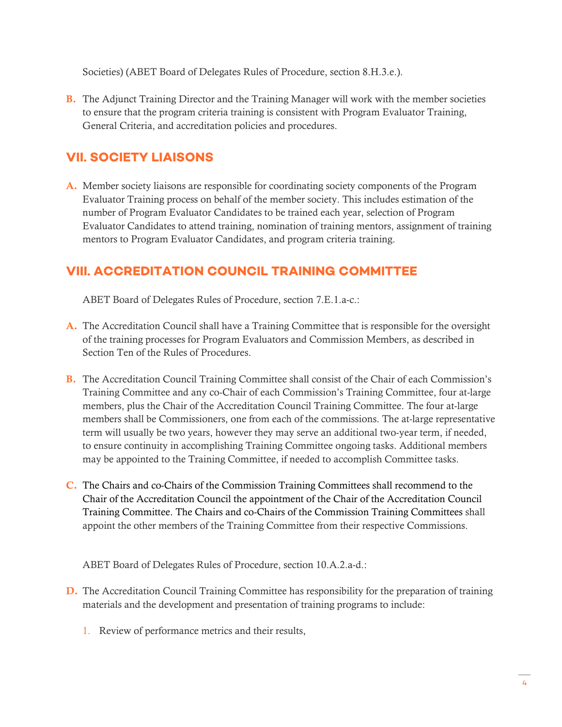Societies) (ABET Board of Delegates Rules of Procedure, section 8.H.3.e.).

B. The Adjunct Training Director and the Training Manager will work with the member societies to ensure that the program criteria training is consistent with Program Evaluator Training, General Criteria, and accreditation policies and procedures.

## <span id="page-5-0"></span>**VII. SOCIETY LIAISONS**

A. Member society liaisons are responsible for coordinating society components of the Program Evaluator Training process on behalf of the member society. This includes estimation of the number of Program Evaluator Candidates to be trained each year, selection of Program Evaluator Candidates to attend training, nomination of training mentors, assignment of training mentors to Program Evaluator Candidates, and program criteria training.

#### <span id="page-5-1"></span>**VIII. ACCREDITATION COUNCIL TRAINING COMMITTEE**

ABET Board of Delegates Rules of Procedure, section 7.E.1.a-c.:

- A. The Accreditation Council shall have a Training Committee that is responsible for the oversight of the training processes for Program Evaluators and Commission Members, as described in Section Ten of the Rules of Procedures.
- B. The Accreditation Council Training Committee shall consist of the Chair of each Commission's Training Committee and any co-Chair of each Commission's Training Committee, four at-large members, plus the Chair of the Accreditation Council Training Committee. The four at-large members shall be Commissioners, one from each of the commissions. The at-large representative term will usually be two years, however they may serve an additional two-year term, if needed, to ensure continuity in accomplishing Training Committee ongoing tasks. Additional members may be appointed to the Training Committee, if needed to accomplish Committee tasks.
- C. The Chairs and co-Chairs of the Commission Training Committees shall recommend to the Chair of the Accreditation Council the appointment of the Chair of the Accreditation Council Training Committee. The Chairs and co-Chairs of the Commission Training Committees shall appoint the other members of the Training Committee from their respective Commissions.

ABET Board of Delegates Rules of Procedure, section 10.A.2.a-d.:

- D. The Accreditation Council Training Committee has responsibility for the preparation of training materials and the development and presentation of training programs to include:
	- 1. Review of performance metrics and their results,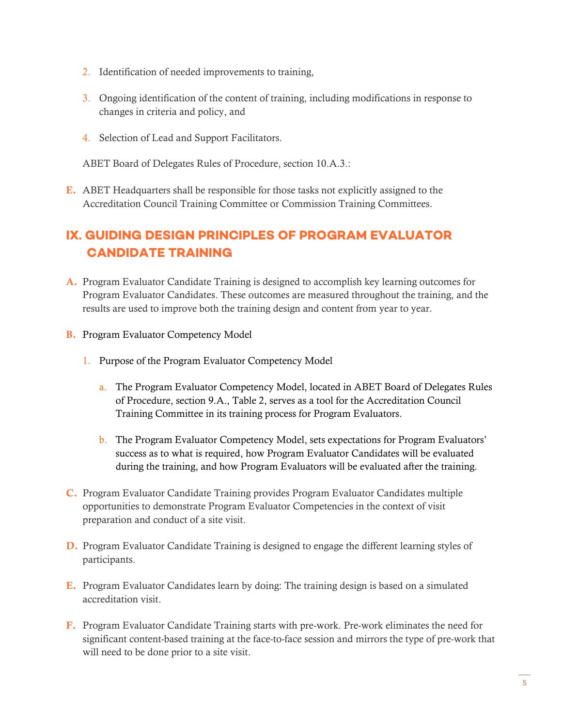- 2. Identification of needed improvements to training,
- 3. Ongoing identification of the content of training, including modifications in response to changes in criteria and policy, and
- 4. Selection of Lead and Support Facilitators.

ABET Board of Delegates Rules of Procedure, section 10.A.3.:

E. ABET Headquarters shall be responsible for those tasks not explicitly assigned to the Accreditation Council Training Committee or Commission Training Committees.

# <span id="page-6-0"></span>**IX. GUIDING DESIGN PRINCIPLES OF PROGRAM EVALUATOR CANDIDATE TRAINING**

- A. Program Evaluator Candidate Training is designed to accomplish key learning outcomes for Program Evaluator Candidates. These outcomes are measured throughout the training, and the results are used to improve both the training design and content from year to year.
- B. Program Evaluator Competency Model
	- 1. Purpose of the Program Evaluator Competency Model
		- a. The Program Evaluator Competency Model, located in [ABET Board of Delegates Rules](https://www.abet.org/about-abet/governance/bylaws-constitution-and-rules-of-procedure/)  [of Procedure, section 9.A., Table 2,](https://www.abet.org/about-abet/governance/bylaws-constitution-and-rules-of-procedure/) serves as a tool for the Accreditation Council Training Committee in its training process for Program Evaluators.
		- b. The Program Evaluator Competency Model, sets expectations for Program Evaluators' success as to what is required, how Program Evaluator Candidates will be evaluated during the training, and how Program Evaluators will be evaluated after the training.
- C. Program Evaluator Candidate Training provides Program Evaluator Candidates multiple opportunities to demonstrate Program Evaluator Competencies in the context of visit preparation and conduct of a site visit.
- D. Program Evaluator Candidate Training is designed to engage the different learning styles of participants.
- E. Program Evaluator Candidates learn by doing: The training design is based on a simulated accreditation visit.
- F. Program Evaluator Candidate Training starts with pre-work. Pre-work eliminates the need for significant content-based training at the face-to-face session and mirrors the type of pre-work that will need to be done prior to a site visit.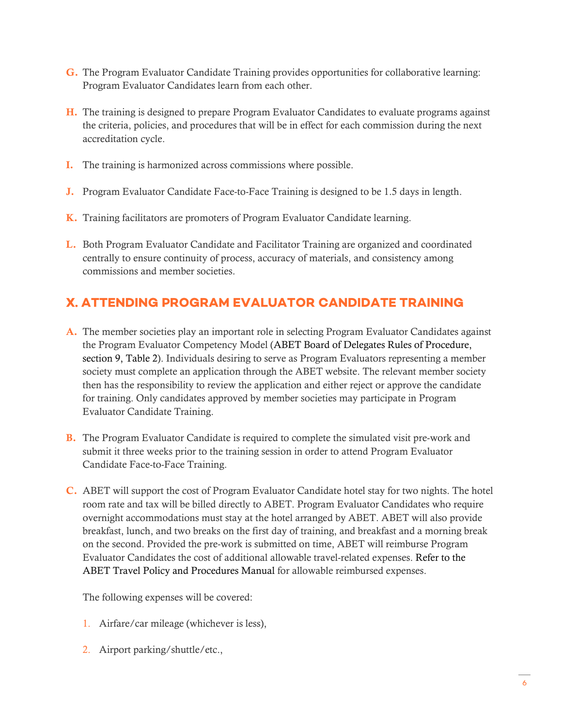- G. The Program Evaluator Candidate Training provides opportunities for collaborative learning: Program Evaluator Candidates learn from each other.
- H. The training is designed to prepare Program Evaluator Candidates to evaluate programs against the criteria, policies, and procedures that will be in effect for each commission during the next accreditation cycle.
- I. The training is harmonized across commissions where possible.
- J. Program Evaluator Candidate Face-to-Face Training is designed to be 1.5 days in length.
- K. Training facilitators are promoters of Program Evaluator Candidate learning.
- L. Both Program Evaluator Candidate and Facilitator Training are organized and coordinated centrally to ensure continuity of process, accuracy of materials, and consistency among commissions and member societies.

## <span id="page-7-0"></span>**X. ATTENDING PROGRAM EVALUATOR CANDIDATE TRAINING**

- A. The member societies play an important role in selecting Program Evaluator Candidates against the Program Evaluator Competency Model (ABET Board of Delegates Rules of Procedure, section 9, Table 2). Individuals desiring to serve as Program Evaluators representing a member society must complete an application through the ABET website. The relevant member society then has the responsibility to review the application and either reject or approve the candidate for training. Only candidates approved by member societies may participate in Program Evaluator Candidate Training.
- B. The Program Evaluator Candidate is required to complete the simulated visit pre-work and submit it three weeks prior to the training session in order to attend Program Evaluator Candidate Face-to-Face Training.
- C. ABET will support the cost of Program Evaluator Candidate hotel stay for two nights. The hotel room rate and tax will be billed directly to ABET. Program Evaluator Candidates who require overnight accommodations must stay at the hotel arranged by ABET. ABET will also provide breakfast, lunch, and two breaks on the first day of training, and breakfast and a morning break on the second. Provided the pre-work is submitted on time, ABET will reimburse Program Evaluator Candidates the cost of additional allowable travel-related expenses. Refer to the ABET Travel Policy and Procedures Manual for allowable reimbursed expenses.

The following expenses will be covered:

- 1. Airfare/car mileage (whichever is less),
- 2. Airport parking/shuttle/etc.,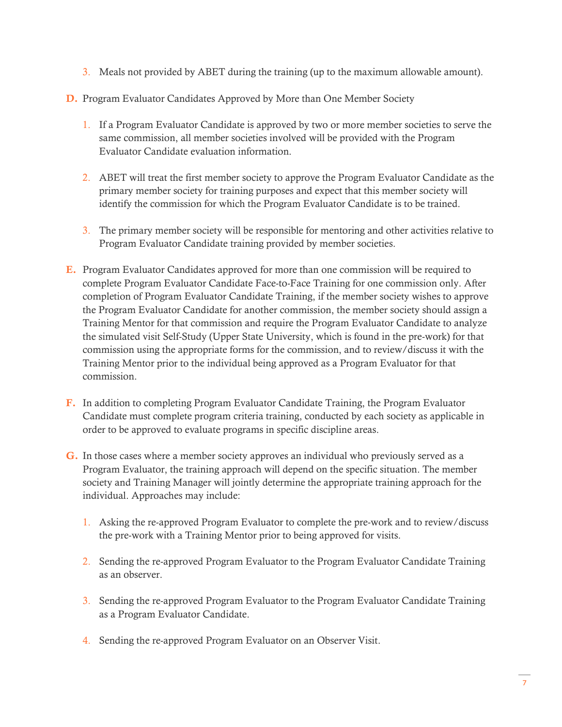- 3. Meals not provided by ABET during the training (up to the maximum allowable amount).
- D. Program Evaluator Candidates Approved by More than One Member Society
	- 1. If a Program Evaluator Candidate is approved by two or more member societies to serve the same commission, all member societies involved will be provided with the Program Evaluator Candidate evaluation information.
	- 2. ABET will treat the first member society to approve the Program Evaluator Candidate as the primary member society for training purposes and expect that this member society will identify the commission for which the Program Evaluator Candidate is to be trained.
	- 3. The primary member society will be responsible for mentoring and other activities relative to Program Evaluator Candidate training provided by member societies.
- E. Program Evaluator Candidates approved for more than one commission will be required to complete Program Evaluator Candidate Face-to-Face Training for one commission only. After completion of Program Evaluator Candidate Training, if the member society wishes to approve the Program Evaluator Candidate for another commission, the member society should assign a Training Mentor for that commission and require the Program Evaluator Candidate to analyze the simulated visit Self-Study (Upper State University, which is found in the pre-work) for that commission using the appropriate forms for the commission, and to review/discuss it with the Training Mentor prior to the individual being approved as a Program Evaluator for that commission.
- F. In addition to completing Program Evaluator Candidate Training, the Program Evaluator Candidate must complete program criteria training, conducted by each society as applicable in order to be approved to evaluate programs in specific discipline areas.
- G. In those cases where a member society approves an individual who previously served as a Program Evaluator, the training approach will depend on the specific situation. The member society and Training Manager will jointly determine the appropriate training approach for the individual. Approaches may include:
	- 1. Asking the re-approved Program Evaluator to complete the pre-work and to review/discuss the pre-work with a Training Mentor prior to being approved for visits.
	- 2. Sending the re-approved Program Evaluator to the Program Evaluator Candidate Training as an observer.
	- 3. Sending the re-approved Program Evaluator to the Program Evaluator Candidate Training as a Program Evaluator Candidate.
	- 4. Sending the re-approved Program Evaluator on an Observer Visit.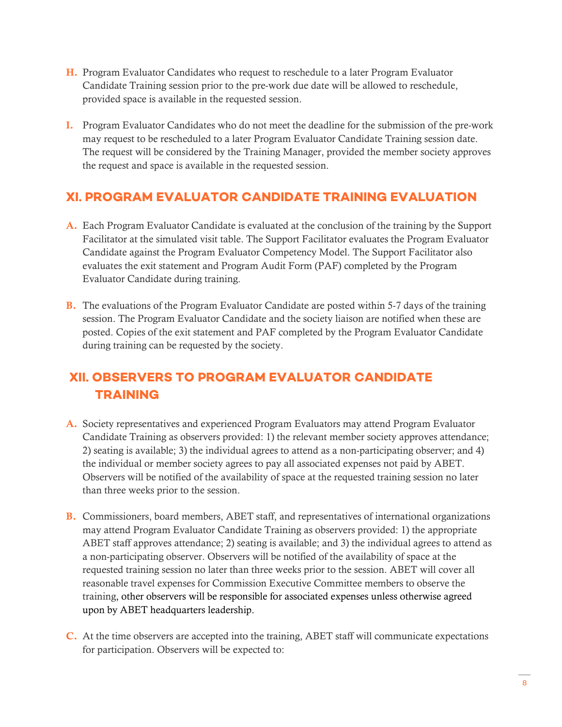- H. Program Evaluator Candidates who request to reschedule to a later Program Evaluator Candidate Training session prior to the pre-work due date will be allowed to reschedule, provided space is available in the requested session.
- I. Program Evaluator Candidates who do not meet the deadline for the submission of the pre-work may request to be rescheduled to a later Program Evaluator Candidate Training session date. The request will be considered by the Training Manager, provided the member society approves the request and space is available in the requested session.

#### <span id="page-9-0"></span>**XI. PROGRAM EVALUATOR CANDIDATE TRAINING EVALUATION**

- A. Each Program Evaluator Candidate is evaluated at the conclusion of the training by the Support Facilitator at the simulated visit table. The Support Facilitator evaluates the Program Evaluator Candidate against the Program Evaluator Competency Model. The Support Facilitator also evaluates the exit statement and Program Audit Form (PAF) completed by the Program Evaluator Candidate during training.
- B. The evaluations of the Program Evaluator Candidate are posted within 5-7 days of the training session. The Program Evaluator Candidate and the society liaison are notified when these are posted. Copies of the exit statement and PAF completed by the Program Evaluator Candidate during training can be requested by the society.

# <span id="page-9-1"></span>**XII. OBSERVERS TO PROGRAM EVALUATOR CANDIDATE TRAINING**

- A. Society representatives and experienced Program Evaluators may attend Program Evaluator Candidate Training as observers provided: 1) the relevant member society approves attendance; 2) seating is available; 3) the individual agrees to attend as a non-participating observer; and 4) the individual or member society agrees to pay all associated expenses not paid by ABET. Observers will be notified of the availability of space at the requested training session no later than three weeks prior to the session.
- B. Commissioners, board members, ABET staff, and representatives of international organizations may attend Program Evaluator Candidate Training as observers provided: 1) the appropriate ABET staff approves attendance; 2) seating is available; and 3) the individual agrees to attend as a non-participating observer. Observers will be notified of the availability of space at the requested training session no later than three weeks prior to the session. ABET will cover all reasonable travel expenses for Commission Executive Committee members to observe the training, other observers will be responsible for associated expenses unless otherwise agreed upon by ABET headquarters leadership.
- C. At the time observers are accepted into the training, ABET staff will communicate expectations for participation. Observers will be expected to: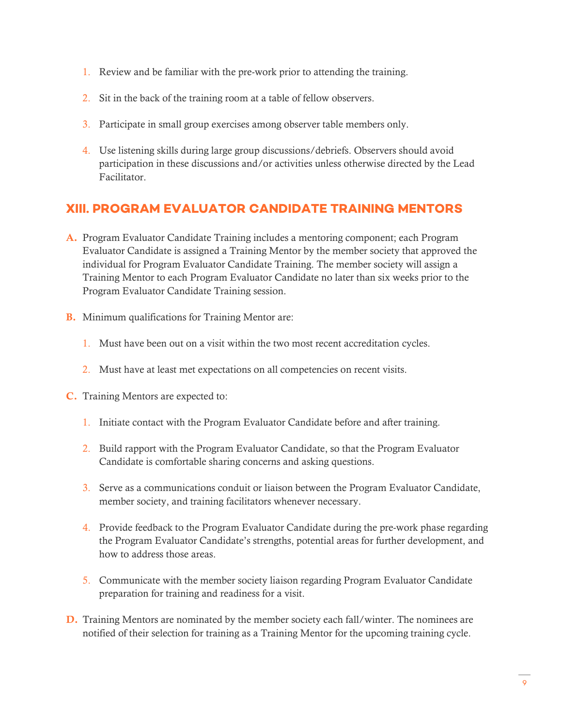- 1. Review and be familiar with the pre-work prior to attending the training.
- 2. Sit in the back of the training room at a table of fellow observers.
- 3. Participate in small group exercises among observer table members only.
- 4. Use listening skills during large group discussions/debriefs. Observers should avoid participation in these discussions and/or activities unless otherwise directed by the Lead Facilitator.

## <span id="page-10-0"></span>**XIII. PROGRAM EVALUATOR CANDIDATE TRAINING MENTORS**

- A. Program Evaluator Candidate Training includes a mentoring component; each Program Evaluator Candidate is assigned a Training Mentor by the member society that approved the individual for Program Evaluator Candidate Training. The member society will assign a Training Mentor to each Program Evaluator Candidate no later than six weeks prior to the Program Evaluator Candidate Training session.
- B. Minimum qualifications for Training Mentor are:
	- 1. Must have been out on a visit within the two most recent accreditation cycles.
	- 2. Must have at least met expectations on all competencies on recent visits.
- C. Training Mentors are expected to:
	- 1. Initiate contact with the Program Evaluator Candidate before and after training.
	- 2. Build rapport with the Program Evaluator Candidate, so that the Program Evaluator Candidate is comfortable sharing concerns and asking questions.
	- 3. Serve as a communications conduit or liaison between the Program Evaluator Candidate, member society, and training facilitators whenever necessary.
	- 4. Provide feedback to the Program Evaluator Candidate during the pre-work phase regarding the Program Evaluator Candidate's strengths, potential areas for further development, and how to address those areas.
	- 5. Communicate with the member society liaison regarding Program Evaluator Candidate preparation for training and readiness for a visit.
- D. Training Mentors are nominated by the member society each fall/winter. The nominees are notified of their selection for training as a Training Mentor for the upcoming training cycle.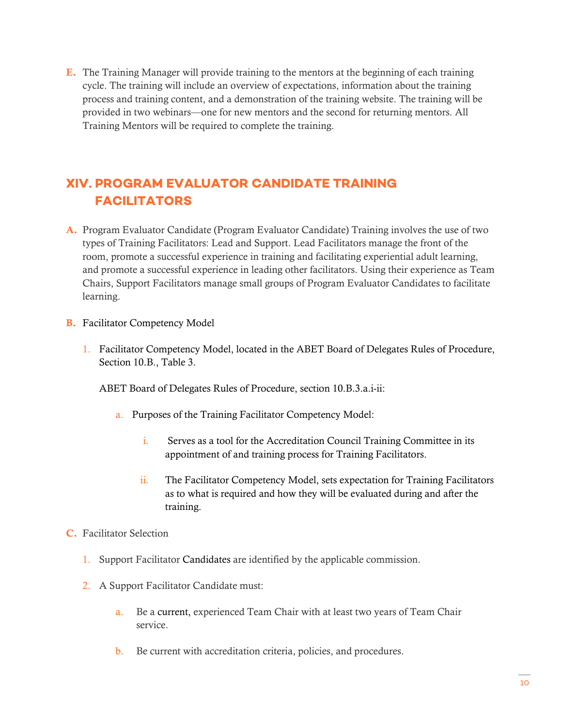E. The Training Manager will provide training to the mentors at the beginning of each training cycle. The training will include an overview of expectations, information about the training process and training content, and a demonstration of the training website. The training will be provided in two webinars—one for new mentors and the second for returning mentors. All Training Mentors will be required to complete the training.

# <span id="page-11-0"></span>**XIV. PROGRAM EVALUATOR CANDIDATE TRAINING FACILITATORS**

- A. Program Evaluator Candidate (Program Evaluator Candidate) Training involves the use of two types of Training Facilitators: Lead and Support. Lead Facilitators manage the front of the room, promote a successful experience in training and facilitating experiential adult learning, and promote a successful experience in leading other facilitators. Using their experience as Team Chairs, Support Facilitators manage small groups of Program Evaluator Candidates to facilitate learning.
- B. Facilitator Competency Model
	- 1. Facilitator Competency Model, located in the ABET Board of Delegates Rules of Procedure, Section 10.B., Table 3.

ABET Board of Delegates Rules of Procedure, section 10.B.3.a.i-ii:

- a. Purposes of the Training Facilitator Competency Model:
	- i. Serves as a tool for the Accreditation Council Training Committee in its appointment of and training process for Training Facilitators.
	- ii. The Facilitator Competency Model, sets expectation for Training Facilitators as to what is required and how they will be evaluated during and after the training.
- C. Facilitator Selection
	- 1. Support Facilitator Candidates are identified by the applicable commission.
	- 2. A Support Facilitator Candidate must:
		- a. Be a current, experienced Team Chair with at least two years of Team Chair service.
		- b. Be current with accreditation criteria, policies, and procedures.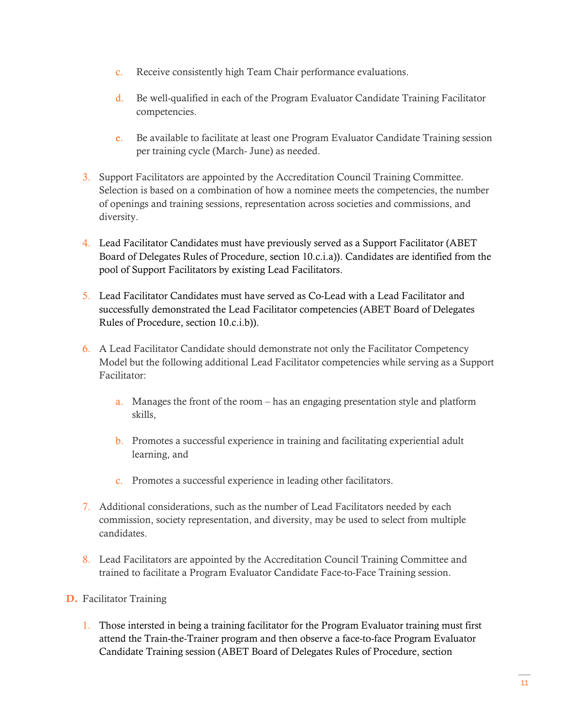- c. Receive consistently high Team Chair performance evaluations.
- d. Be well-qualified in each of the Program Evaluator Candidate Training Facilitator competencies.
- e. Be available to facilitate at least one Program Evaluator Candidate Training session per training cycle (March- June) as needed.
- 3. Support Facilitators are appointed by the Accreditation Council Training Committee. Selection is based on a combination of how a nominee meets the competencies, the number of openings and training sessions, representation across societies and commissions, and diversity.
- 4. Lead Facilitator Candidates must have previously served as a Support Facilitator (ABET Board of Delegates Rules of Procedure, section 10.c.i.a)). Candidates are identified from the pool of Support Facilitators by existing Lead Facilitators.
- 5. Lead Facilitator Candidates must have served as Co-Lead with a Lead Facilitator and successfully demonstrated the Lead Facilitator competencies (ABET Board of Delegates Rules of Procedure, section 10.c.i.b)).
- 6. A Lead Facilitator Candidate should demonstrate not only the Facilitator Competency Model but the following additional Lead Facilitator competencies while serving as a Support Facilitator:
	- a. Manages the front of the room has an engaging presentation style and platform skills,
	- b. Promotes a successful experience in training and facilitating experiential adult learning, and
	- c. Promotes a successful experience in leading other facilitators.
- 7. Additional considerations, such as the number of Lead Facilitators needed by each commission, society representation, and diversity, may be used to select from multiple candidates.
- 8. Lead Facilitators are appointed by the Accreditation Council Training Committee and trained to facilitate a Program Evaluator Candidate Face-to-Face Training session.

#### D. Facilitator Training

1. Those intersted in being a training facilitator for the Program Evaluator training must first attend the Train-the-Trainer program and then observe a face-to-face Program Evaluator Candidate Training session (ABET Board of Delegates Rules of Procedure, section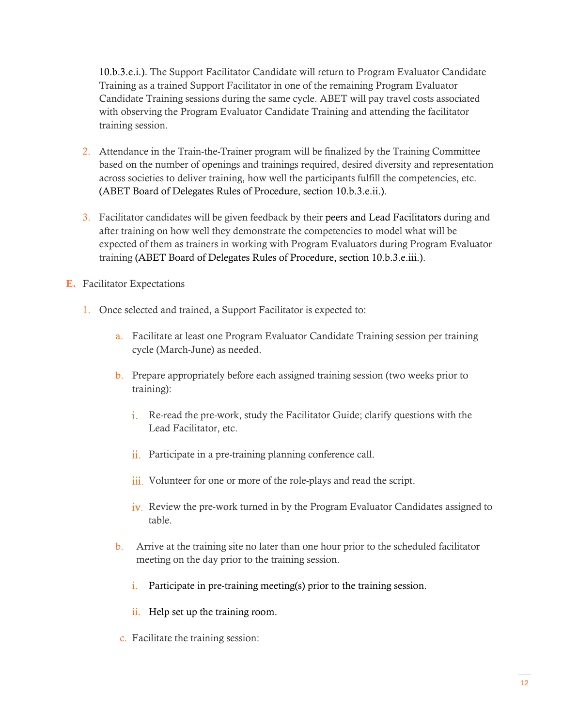10.b.3.e.i.). The Support Facilitator Candidate will return to Program Evaluator Candidate Training as a trained Support Facilitator in one of the remaining Program Evaluator Candidate Training sessions during the same cycle. ABET will pay travel costs associated with observing the Program Evaluator Candidate Training and attending the facilitator training session.

- 2. Attendance in the Train-the-Trainer program will be finalized by the Training Committee based on the number of openings and trainings required, desired diversity and representation across societies to deliver training, how well the participants fulfill the competencies, etc. (ABET Board of Delegates Rules of Procedure, section 10.b.3.e.ii.).
- 3. Facilitator candidates will be given feedback by their peers and Lead Facilitators during and after training on how well they demonstrate the competencies to model what will be expected of them as trainers in working with Program Evaluators during Program Evaluator training (ABET Board of Delegates Rules of Procedure, section 10.b.3.e.iii.).
- E. Facilitator Expectations
	- 1. Once selected and trained, a Support Facilitator is expected to:
		- a. Facilitate at least one Program Evaluator Candidate Training session per training cycle (March-June) as needed.
		- b. Prepare appropriately before each assigned training session (two weeks prior to training):
			- Re-read the pre-work, study the Facilitator Guide; clarify questions with the Lead Facilitator, etc.
			- ii. Participate in a pre-training planning conference call.
			- iii. Volunteer for one or more of the role-plays and read the script.
			- iv. Review the pre-work turned in by the Program Evaluator Candidates assigned to table.
		- b. Arrive at the training site no later than one hour prior to the scheduled facilitator meeting on the day prior to the training session.
			- i. Participate in pre-training meeting(s) prior to the training session.
			- ii. Help set up the training room.
		- c. Facilitate the training session: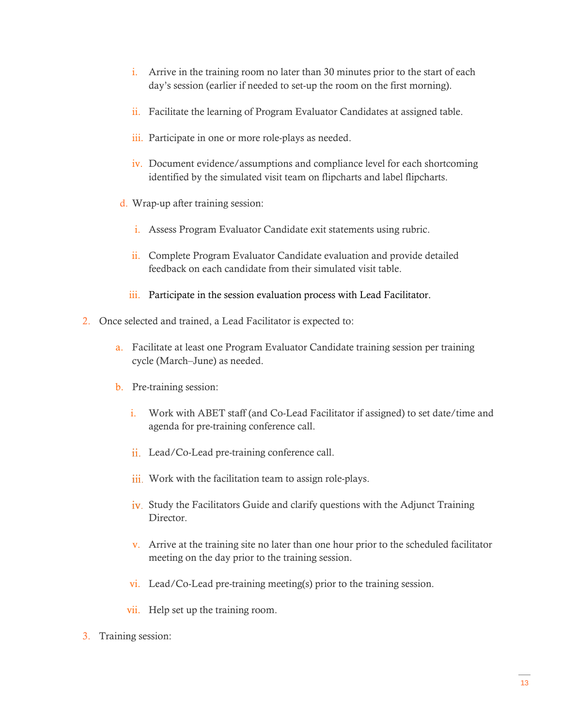- i. Arrive in the training room no later than 30 minutes prior to the start of each day's session (earlier if needed to set-up the room on the first morning).
- ii. Facilitate the learning of Program Evaluator Candidates at assigned table.
- iii. Participate in one or more role-plays as needed.
- iv. Document evidence/assumptions and compliance level for each shortcoming identified by the simulated visit team on flipcharts and label flipcharts.
- d. Wrap-up after training session:
	- i. Assess Program Evaluator Candidate exit statements using rubric.
	- ii. Complete Program Evaluator Candidate evaluation and provide detailed feedback on each candidate from their simulated visit table.
	- iii. Participate in the session evaluation process with Lead Facilitator.
- 2. Once selected and trained, a Lead Facilitator is expected to:
	- a. Facilitate at least one Program Evaluator Candidate training session per training cycle (March–June) as needed.
	- b. Pre-training session:
		- i. Work with ABET staff (and Co-Lead Facilitator if assigned) to set date/time and agenda for pre-training conference call.
		- ii. Lead/Co-Lead pre-training conference call.
		- iii. Work with the facilitation team to assign role-plays.
		- iv. Study the Facilitators Guide and clarify questions with the Adjunct Training **Director**
		- v. Arrive at the training site no later than one hour prior to the scheduled facilitator meeting on the day prior to the training session.
		- vi. Lead/Co-Lead pre-training meeting(s) prior to the training session.
		- vii. Help set up the training room.
- 3. Training session: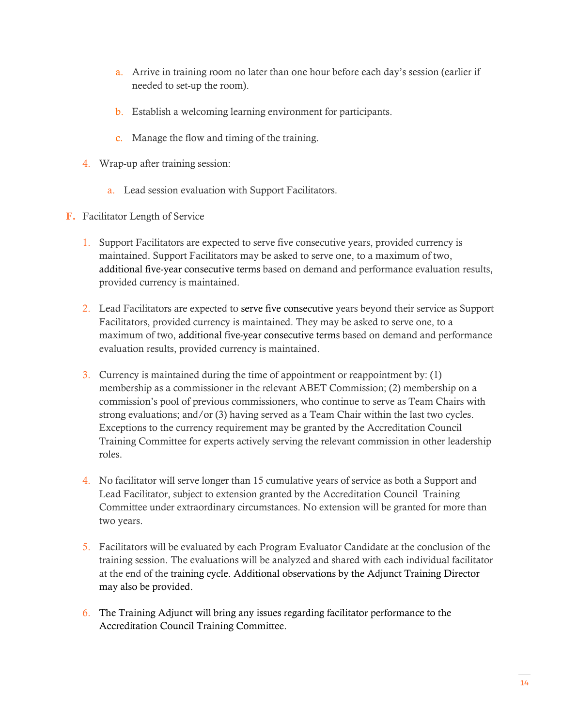- a. Arrive in training room no later than one hour before each day's session (earlier if needed to set-up the room).
- b. Establish a welcoming learning environment for participants.
- c. Manage the flow and timing of the training.
- 4. Wrap-up after training session:
	- a. Lead session evaluation with Support Facilitators.
- F. Facilitator Length of Service
	- 1. Support Facilitators are expected to serve five consecutive years, provided currency is maintained. Support Facilitators may be asked to serve one, to a maximum of two, additional five-year consecutive terms based on demand and performance evaluation results, provided currency is maintained.
	- 2. Lead Facilitators are expected to serve five consecutive years beyond their service as Support Facilitators, provided currency is maintained. They may be asked to serve one, to a maximum of two, additional five-year consecutive terms based on demand and performance evaluation results, provided currency is maintained.
	- 3. Currency is maintained during the time of appointment or reappointment by: (1) membership as a commissioner in the relevant ABET Commission; (2) membership on a commission's pool of previous commissioners, who continue to serve as Team Chairs with strong evaluations; and/or (3) having served as a Team Chair within the last two cycles. Exceptions to the currency requirement may be granted by the Accreditation Council Training Committee for experts actively serving the relevant commission in other leadership roles.
	- 4. No facilitator will serve longer than 15 cumulative years of service as both a Support and Lead Facilitator, subject to extension granted by the Accreditation Council Training Committee under extraordinary circumstances. No extension will be granted for more than two years.
	- 5. Facilitators will be evaluated by each Program Evaluator Candidate at the conclusion of the training session. The evaluations will be analyzed and shared with each individual facilitator at the end of the training cycle. Additional observations by the Adjunct Training Director may also be provided.
	- 6. The Training Adjunct will bring any issues regarding facilitator performance to the Accreditation Council Training Committee.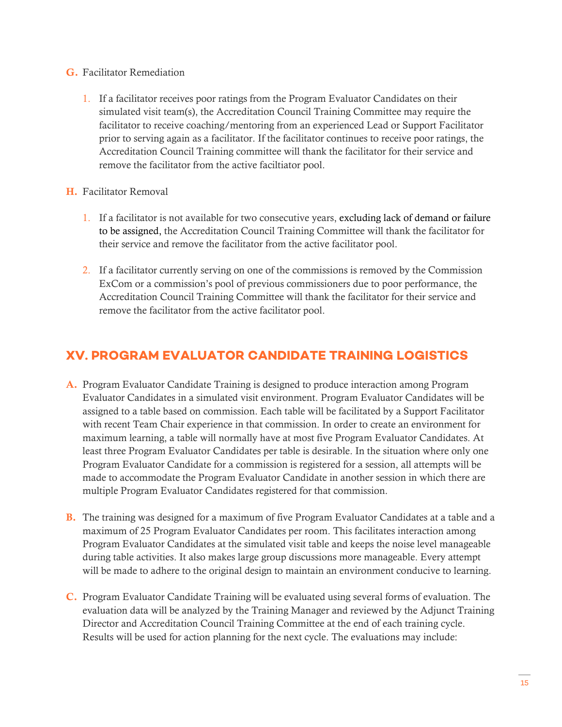#### G. Facilitator Remediation

1. If a facilitator receives poor ratings from the Program Evaluator Candidates on their simulated visit team(s), the Accreditation Council Training Committee may require the facilitator to receive coaching/mentoring from an experienced Lead or Support Facilitator prior to serving again as a facilitator. If the facilitator continues to receive poor ratings, the Accreditation Council Training committee will thank the facilitator for their service and remove the facilitator from the active faciltiator pool.

#### H. Facilitator Removal

- 1. If a facilitator is not available for two consecutive years, excluding lack of demand or failure to be assigned, the Accreditation Council Training Committee will thank the facilitator for their service and remove the facilitator from the active facilitator pool.
- 2. If a facilitator currently serving on one of the commissions is removed by the Commission ExCom or a commission's pool of previous commissioners due to poor performance, the Accreditation Council Training Committee will thank the facilitator for their service and remove the facilitator from the active facilitator pool.

#### <span id="page-16-0"></span>**XV. PROGRAM EVALUATOR CANDIDATE TRAINING LOGISTICS**

- A. Program Evaluator Candidate Training is designed to produce interaction among Program Evaluator Candidates in a simulated visit environment. Program Evaluator Candidates will be assigned to a table based on commission. Each table will be facilitated by a Support Facilitator with recent Team Chair experience in that commission. In order to create an environment for maximum learning, a table will normally have at most five Program Evaluator Candidates. At least three Program Evaluator Candidates per table is desirable. In the situation where only one Program Evaluator Candidate for a commission is registered for a session, all attempts will be made to accommodate the Program Evaluator Candidate in another session in which there are multiple Program Evaluator Candidates registered for that commission.
- B. The training was designed for a maximum of five Program Evaluator Candidates at a table and a maximum of 25 Program Evaluator Candidates per room. This facilitates interaction among Program Evaluator Candidates at the simulated visit table and keeps the noise level manageable during table activities. It also makes large group discussions more manageable. Every attempt will be made to adhere to the original design to maintain an environment conducive to learning.
- C. Program Evaluator Candidate Training will be evaluated using several forms of evaluation. The evaluation data will be analyzed by the Training Manager and reviewed by the Adjunct Training Director and Accreditation Council Training Committee at the end of each training cycle. Results will be used for action planning for the next cycle. The evaluations may include: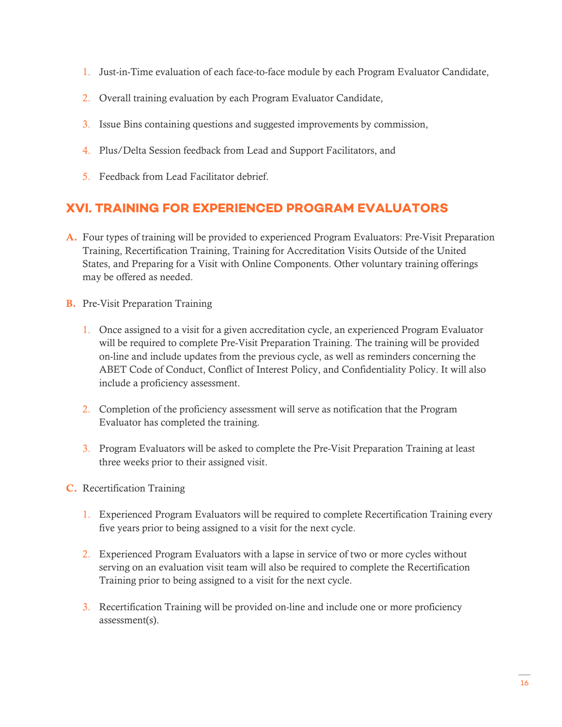- 1. Just-in-Time evaluation of each face-to-face module by each Program Evaluator Candidate,
- 2. Overall training evaluation by each Program Evaluator Candidate,
- 3. Issue Bins containing questions and suggested improvements by commission,
- 4. Plus/Delta Session feedback from Lead and Support Facilitators, and
- 5. Feedback from Lead Facilitator debrief.

## <span id="page-17-0"></span>**XVI. TRAINING FOR EXPERIENCED PROGRAM EVALUATORS**

- A. Four types of training will be provided to experienced Program Evaluators: Pre-Visit Preparation Training, Recertification Training, Training for Accreditation Visits Outside of the United States, and Preparing for a Visit with Online Components. Other voluntary training offerings may be offered as needed.
- B. Pre-Visit Preparation Training
	- 1. Once assigned to a visit for a given accreditation cycle, an experienced Program Evaluator will be required to complete Pre-Visit Preparation Training. The training will be provided on-line and include updates from the previous cycle, as well as reminders concerning the ABET Code of Conduct, Conflict of Interest Policy, and Confidentiality Policy. It will also include a proficiency assessment.
	- 2. Completion of the proficiency assessment will serve as notification that the Program Evaluator has completed the training.
	- 3. Program Evaluators will be asked to complete the Pre-Visit Preparation Training at least three weeks prior to their assigned visit.
- C. Recertification Training
	- 1. Experienced Program Evaluators will be required to complete Recertification Training every five years prior to being assigned to a visit for the next cycle.
	- 2. Experienced Program Evaluators with a lapse in service of two or more cycles without serving on an evaluation visit team will also be required to complete the Recertification Training prior to being assigned to a visit for the next cycle.
	- 3. Recertification Training will be provided on-line and include one or more proficiency assessment(s).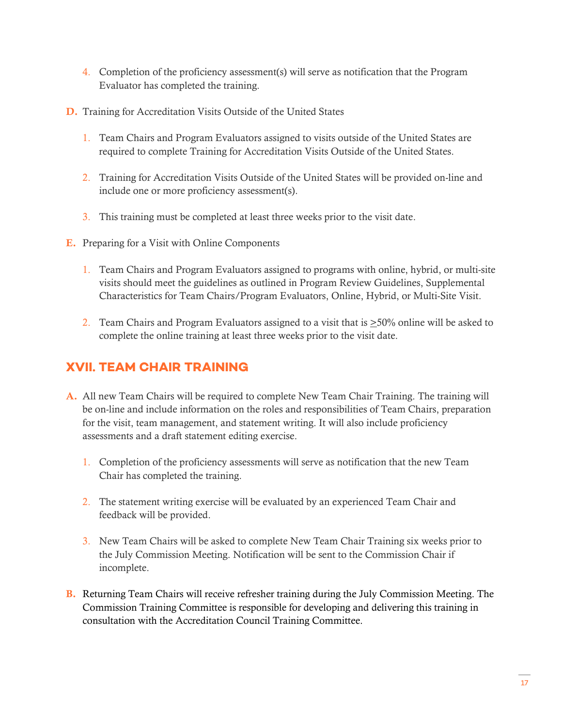- 4. Completion of the proficiency assessment(s) will serve as notification that the Program Evaluator has completed the training.
- D. Training for Accreditation Visits Outside of the United States
	- 1. Team Chairs and Program Evaluators assigned to visits outside of the United States are required to complete Training for Accreditation Visits Outside of the United States.
	- 2. Training for Accreditation Visits Outside of the United States will be provided on-line and include one or more proficiency assessment(s).
	- 3. This training must be completed at least three weeks prior to the visit date.
- E. Preparing for a Visit with Online Components
	- 1. Team Chairs and Program Evaluators assigned to programs with online, hybrid, or multi-site visits should meet the guidelines as outlined in Program Review Guidelines, Supplemental Characteristics for Team Chairs/Program Evaluators, Online, Hybrid, or Multi-Site Visit.
	- 2. Team Chairs and Program Evaluators assigned to a visit that is  $\geq$ 50% online will be asked to complete the online training at least three weeks prior to the visit date.

#### <span id="page-18-0"></span>**XVII. TEAM CHAIR TRAINING**

- A. All new Team Chairs will be required to complete New Team Chair Training. The training will be on-line and include information on the roles and responsibilities of Team Chairs, preparation for the visit, team management, and statement writing. It will also include proficiency assessments and a draft statement editing exercise.
	- 1. Completion of the proficiency assessments will serve as notification that the new Team Chair has completed the training.
	- 2. The statement writing exercise will be evaluated by an experienced Team Chair and feedback will be provided.
	- 3. New Team Chairs will be asked to complete New Team Chair Training six weeks prior to the July Commission Meeting. Notification will be sent to the Commission Chair if incomplete.
- B. Returning Team Chairs will receive refresher training during the July Commission Meeting. The Commission Training Committee is responsible for developing and delivering this training in consultation with the Accreditation Council Training Committee.